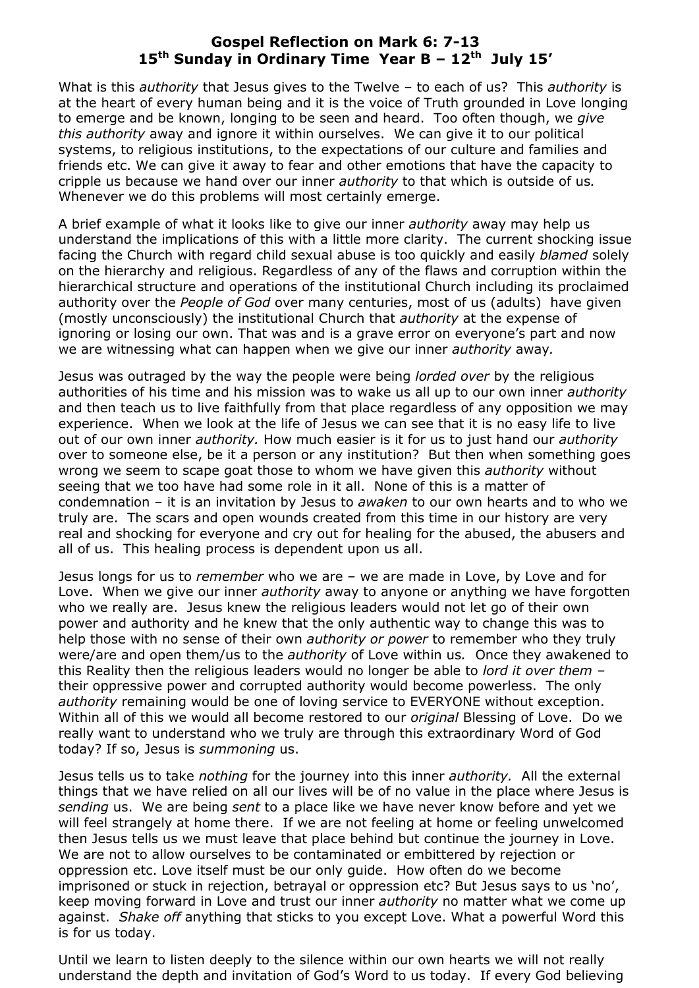## **Gospel Reflection on Mark 6: 7-13 15 th Sunday in Ordinary Time Year B – 12th July 15'**

What is this *authority* that Jesus gives to the Twelve – to each of us? This *authority* is at the heart of every human being and it is the voice of Truth grounded in Love longing to emerge and be known, longing to be seen and heard. Too often though, we *give this authority* away and ignore it within ourselves. We can give it to our political systems, to religious institutions, to the expectations of our culture and families and friends etc. We can give it away to fear and other emotions that have the capacity to cripple us because we hand over our inner *authority* to that which is outside of us*.* Whenever we do this problems will most certainly emerge.

A brief example of what it looks like to give our inner *authority* away may help us understand the implications of this with a little more clarity. The current shocking issue facing the Church with regard child sexual abuse is too quickly and easily *blamed* solely on the hierarchy and religious. Regardless of any of the flaws and corruption within the hierarchical structure and operations of the institutional Church including its proclaimed authority over the *People of God* over many centuries, most of us (adults) have given (mostly unconsciously) the institutional Church that *authority* at the expense of ignoring or losing our own. That was and is a grave error on everyone's part and now we are witnessing what can happen when we give our inner *authority* away*.* 

Jesus was outraged by the way the people were being *lorded over* by the religious authorities of his time and his mission was to wake us all up to our own inner *authority*  and then teach us to live faithfully from that place regardless of any opposition we may experience. When we look at the life of Jesus we can see that it is no easy life to live out of our own inner *authority.* How much easier is it for us to just hand our *authority*  over to someone else, be it a person or any institution? But then when something goes wrong we seem to scape goat those to whom we have given this *authority* without seeing that we too have had some role in it all. None of this is a matter of condemnation – it is an invitation by Jesus to *awaken* to our own hearts and to who we truly are. The scars and open wounds created from this time in our history are very real and shocking for everyone and cry out for healing for the abused, the abusers and all of us. This healing process is dependent upon us all.

Jesus longs for us to *remember* who we are – we are made in Love, by Love and for Love. When we give our inner *authority* away to anyone or anything we have forgotten who we really are. Jesus knew the religious leaders would not let go of their own power and authority and he knew that the only authentic way to change this was to help those with no sense of their own *authority or power* to remember who they truly were/are and open them/us to the *authority* of Love within us*.* Once they awakened to this Reality then the religious leaders would no longer be able to *lord it over them –* their oppressive power and corrupted authority would become powerless. The only *authority* remaining would be one of loving service to EVERYONE without exception. Within all of this we would all become restored to our *original* Blessing of Love. Do we really want to understand who we truly are through this extraordinary Word of God today? If so, Jesus is *summoning* us.

Jesus tells us to take *nothing* for the journey into this inner *authority.* All the external things that we have relied on all our lives will be of no value in the place where Jesus is *sending* us. We are being *sent* to a place like we have never know before and yet we will feel strangely at home there. If we are not feeling at home or feeling unwelcomed then Jesus tells us we must leave that place behind but continue the journey in Love. We are not to allow ourselves to be contaminated or embittered by rejection or oppression etc. Love itself must be our only guide. How often do we become imprisoned or stuck in rejection, betrayal or oppression etc? But Jesus says to us 'no', keep moving forward in Love and trust our inner *authority* no matter what we come up against. *Shake off* anything that sticks to you except Love. What a powerful Word this is for us today.

Until we learn to listen deeply to the silence within our own hearts we will not really understand the depth and invitation of God's Word to us today. If every God believing